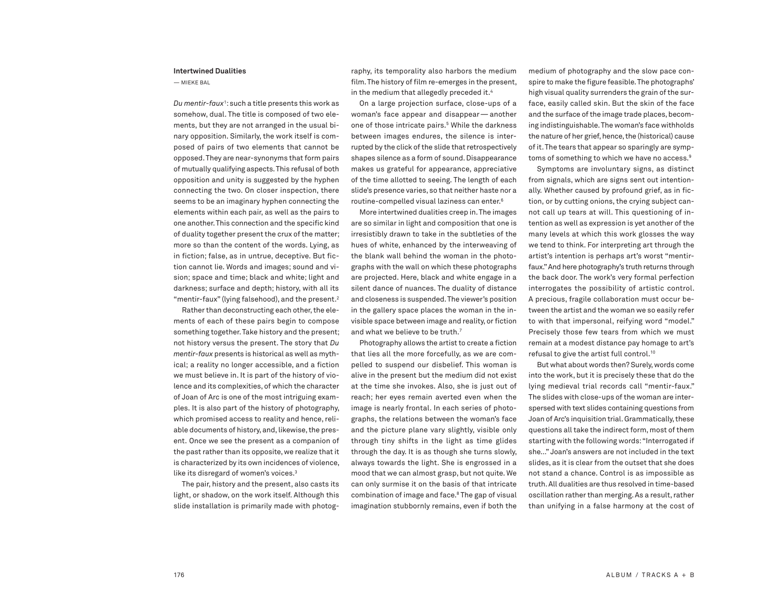## **Intertwined Dualities**

— MIEKE BAL

*Du mentir-faux*<sup>1</sup> :such a title presents this work as somehow, dual. The title is composed of two elements, but they are not arranged in the usual binary opposition. Similarly, the work itself is composed of pairs of two elements that cannot be opposed.They are near-synonyms that form pairs of mutually qualifying aspects.This refusal of both opposition and unity is suggested by the hyphen connecting the two. On closer inspection, there seems to be an imaginary hyphen connecting the elements within each pair, as well as the pairs to one another.This connection and the specific kind of duality together present the crux of the matter; more so than the content of the words. Lying, as in fiction; false, as in untrue, deceptive. But fiction cannot lie. Words and images; sound and vision; space and time; black and white; light and darkness; surface and depth; history, with all its "mentir-faux" (lying falsehood), and the present. 2

Rather than deconstructing each other, the elements of each of these pairs begin to compose something together.Take history and the present; not history versus the present. The story that *Du mentir-faux* presents is historical as well as mythical; a reality no longer accessible, and a fiction we must believe in. It is part of the history of violence and its complexities, of which the character of Joan of Arc is one of the most intriguing examples. It is also part of the history of photography, which promised access to reality and hence, reliable documents of history, and, likewise, the present. Once we see the present as a companion of the past rather than its opposite, we realize that it is characterized by its own incidences of violence, like its disregard of women's voices. 3

The pair, history and the present, also casts its light, or shadow, on the work itself. Although this slide installation is primarily made with photography, its temporality also harbors the medium film.The history of film re-emerges in the present, in the medium that allegedly preceded it. 4

On a large projection surface, close-ups of a woman's face appear and disappear—another one of those intricate pairs. <sup>5</sup> While the darkness between images endures, the silence is interrupted by the click of the slide that retrospectively shapes silence as a form of sound. Disappearance makes us grateful for appearance, appreciative of the time allotted to seeing. The length of each slide's presence varies, so that neither haste nor a routine-compelled visual laziness can enter. 6

More intertwined dualities creep in.The images are so similar in light and composition that one is irresistibly drawn to take in the subtleties of the hues of white, enhanced by the interweaving of the blank wall behind the woman in the photographs with the wall on which these photographs are projected. Here, black and white engage in a silent dance of nuances. The duality of distance and closeness is suspended.The viewer's position in the gallery space places the woman in the invisible space between image and reality, or fiction and what we believe to be truth. 7

Photography allows the artist to create a fiction that lies all the more forcefully, as we are compelled to suspend our disbelief. This woman is alive in the present but the medium did not exist at the time she invokes. Also, she is just out of reach; her eyes remain averted even when the image is nearly frontal. In each series of photographs, the relations between the woman's face and the picture plane vary slightly, visible only through tiny shifts in the light as time glides through the day. It is as though she turns slowly, always towards the light. She is engrossed in a mood that we can almost grasp, but not quite. We can only surmise it on the basis of that intricate combination of image and face. <sup>8</sup> The gap of visual imagination stubbornly remains, even if both the medium of photography and the slow pace conspire to make the figure feasible.The photographs' high visual quality surrenders the grain of the surface, easily called skin. But the skin of the face and the surface of the image trade places, becoming indistinguishable.The woman's face withholds the nature of her grief, hence, the (historical) cause of it.The tears that appear so sparingly are symptoms of something to which we have no access. 9

Symptoms are involuntary signs, as distinct from signals, which are signs sent out intentionally. Whether caused by profound grief, as in fiction, or by cutting onions, the crying subject cannot call up tears at will. This questioning of intention as well as expression is yet another of the many levels at which this work glosses the way we tend to think. For interpreting art through the artist's intention is perhaps art's worst "mentirfaux."And here photography's truth returns through the back door. The work's very formal perfection interrogates the possibility of artistic control. A precious, fragile collaboration must occur between the artist and the woman we so easily refer to with that impersonal, reifying word "model." Precisely those few tears from which we must remain at a modest distance pay homage to art's refusal to give the artist full control. 10

But what about words then? Surely, words come into the work, but it is precisely these that do the lying medieval trial records call "mentir-faux." The slides with close-ups of the woman are interspersed with text slides containing questions from Joan of Arc's inquisition trial. Grammatically, these questions all take the indirect form, most of them starting with the following words:"Interrogated if she…" Joan's answers are not included in the text slides, as it is clear from the outset that she does not stand a chance. Control is as impossible as truth.All dualities are thus resolved in time-based oscillation rather than merging. As a result, rather than unifying in a false harmony at the cost of